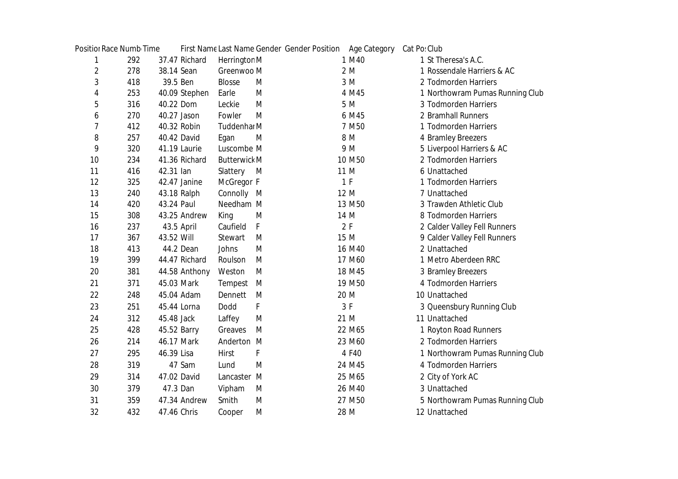|    | <b>Positior Race Numb Time</b> |             |               |                     |   | First Name Last Name Gender Gender Position Age Category |                   | Cat Po: Club |                                 |
|----|--------------------------------|-------------|---------------|---------------------|---|----------------------------------------------------------|-------------------|--------------|---------------------------------|
| 1  | 292                            |             | 37.47 Richard | Herrington M        |   |                                                          | 1 M40             |              | 1 St Theresa's A.C.             |
| 2  | 278                            | 38.14 Sean  |               | Greenwoo M          |   |                                                          | 2 M               |              | 1 Rossendale Harriers & AC      |
| 3  | 418                            | 39.5 Ben    |               | <b>Blosse</b>       | M |                                                          | 3 M               |              | 2 Todmorden Harriers            |
| 4  | 253                            |             | 40.09 Stephen | Earle               | M |                                                          | 4 M45             |              | 1 Northowram Pumas Running Club |
| 5  | 316                            | 40.22 Dom   |               | Leckie              | M |                                                          | 5 M               |              | 3 Todmorden Harriers            |
| 6  | 270                            | 40.27 Jason |               | Fowler              | M |                                                          | 6 M45             |              | 2 Bramhall Runners              |
| 7  | 412                            |             | 40.32 Robin   | Tuddenhai M         |   |                                                          | 7 M <sub>50</sub> |              | 1 Todmorden Harriers            |
| 8  | 257                            |             | 40.42 David   | Egan                | M |                                                          | 8 M               |              | 4 Bramley Breezers              |
| 9  | 320                            |             | 41.19 Laurie  | Luscombe M          |   |                                                          | 9 M               |              | 5 Liverpool Harriers & AC       |
| 10 | 234                            |             | 41.36 Richard | <b>Butterwick M</b> |   |                                                          | 10 M50            |              | 2 Todmorden Harriers            |
| 11 | 416                            | 42.31 lan   |               | Slattery            | M |                                                          | 11 M              |              | 6 Unattached                    |
| 12 | 325                            |             | 42.47 Janine  | McGregor F          |   |                                                          | 1 F               |              | 1 Todmorden Harriers            |
| 13 | 240                            |             | 43.18 Ralph   | Connolly M          |   |                                                          | 12 M              |              | 7 Unattached                    |
| 14 | 420                            | 43.24 Paul  |               | Needham M           |   |                                                          | 13 M50            |              | 3 Trawden Athletic Club         |
| 15 | 308                            |             | 43.25 Andrew  | King                | M |                                                          | 14 M              |              | 8 Todmorden Harriers            |
| 16 | 237                            |             | 43.5 April    | Caufield            | F |                                                          | 2F                |              | 2 Calder Valley Fell Runners    |
| 17 | 367                            | 43.52 Will  |               | <b>Stewart</b>      | M |                                                          | 15 M              |              | 9 Calder Valley Fell Runners    |
| 18 | 413                            |             | 44.2 Dean     | Johns               | M |                                                          | 16 M40            |              | 2 Unattached                    |
| 19 | 399                            |             | 44.47 Richard | Roulson             | M |                                                          | 17 M60            |              | 1 Metro Aberdeen RRC            |
| 20 | 381                            |             | 44.58 Anthony | Weston              | M |                                                          | 18 M45            |              | 3 Bramley Breezers              |
| 21 | 371                            | 45.03 Mark  |               | Tempest             | M |                                                          | 19 M50            |              | 4 Todmorden Harriers            |
| 22 | 248                            |             | 45.04 Adam    | Dennett             | M |                                                          | 20 M              |              | 10 Unattached                   |
| 23 | 251                            |             | 45.44 Lorna   | Dodd                | F |                                                          | 3F                |              | 3 Queensbury Running Club       |
| 24 | 312                            | 45.48 Jack  |               | Laffey              | M |                                                          | 21 M              |              | 11 Unattached                   |
| 25 | 428                            | 45.52 Barry |               | Greaves             | M |                                                          | 22 M65            |              | 1 Royton Road Runners           |
| 26 | 214                            | 46.17 Mark  |               | Anderton M          |   |                                                          | 23 M60            |              | 2 Todmorden Harriers            |
| 27 | 295                            | 46.39 Lisa  |               | <b>Hirst</b>        | F |                                                          | 4 F40             |              | 1 Northowram Pumas Running Club |
| 28 | 319                            |             | 47 Sam        | Lund                | M |                                                          | 24 M45            |              | 4 Todmorden Harriers            |
| 29 | 314                            |             | 47.02 David   | Lancaster M         |   |                                                          | 25 M65            |              | 2 City of York AC               |
| 30 | 379                            | 47.3 Dan    |               | Vipham              | M |                                                          | 26 M40            |              | 3 Unattached                    |
| 31 | 359                            |             | 47.34 Andrew  | Smith               | M |                                                          | 27 M50            |              | 5 Northowram Pumas Running Club |
| 32 | 432                            | 47.46 Chris |               | Cooper              | M |                                                          | 28 M              |              | 12 Unattached                   |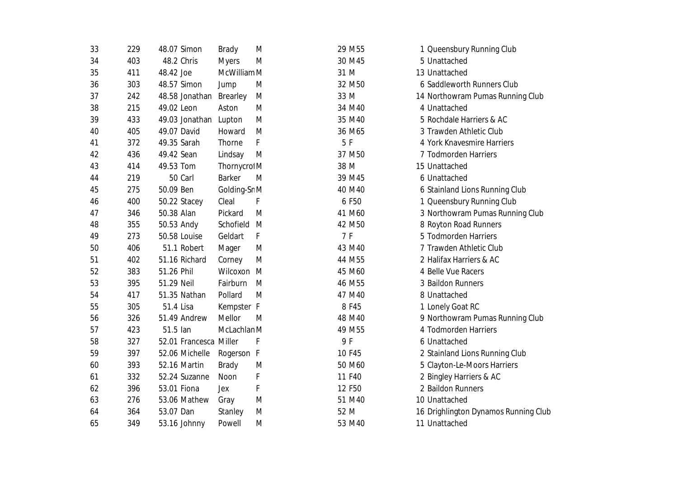| 33 | 229 | 48.07 Simon            | <b>Brady</b>    | M |      | 29 M55 | 1 Queensbury Running Club            |
|----|-----|------------------------|-----------------|---|------|--------|--------------------------------------|
| 34 | 403 | 48.2 Chris             | <b>Myers</b>    | M |      | 30 M45 | 5 Unattached                         |
| 35 | 411 | 48.42 Joe              | McWilliam M     |   | 31 M |        | 13 Unattached                        |
| 36 | 303 | 48.57 Simon            | Jump            | M |      | 32 M50 | 6 Saddleworth Runners Club           |
| 37 | 242 | 48.58 Jonathan         | <b>Brearley</b> | M | 33 M |        | 14 Northowram Pumas Running Club     |
| 38 | 215 | 49.02 Leon             | Aston           | M |      | 34 M40 | 4 Unattached                         |
| 39 | 433 | 49.03 Jonathan Lupton  |                 | M |      | 35 M40 | 5 Rochdale Harriers & AC             |
| 40 | 405 | 49.07 David            | Howard          | M |      | 36 M65 | 3 Trawden Athletic Club              |
| 41 | 372 | 49.35 Sarah            | Thorne          | F | 5F   |        | 4 York Knavesmire Harriers           |
| 42 | 436 | 49.42 Sean             | Lindsay         | M |      | 37 M50 | 7 Todmorden Harriers                 |
| 43 | 414 | 49.53 Tom              | Thornycrol M    |   | 38 M |        | 15 Unattached                        |
| 44 | 219 | 50 Carl                | <b>Barker</b>   | M |      | 39 M45 | 6 Unattached                         |
| 45 | 275 | 50.09 Ben              | Golding-Sr M    |   |      | 40 M40 | 6 Stainland Lions Running Club       |
| 46 | 400 | 50.22 Stacey           | Cleal           | F |      | 6 F50  | 1 Queensbury Running Club            |
| 47 | 346 | 50.38 Alan             | Pickard         | M |      | 41 M60 | 3 Northowram Pumas Running Club      |
| 48 | 355 | 50.53 Andy             | Schofield       | M |      | 42 M50 | 8 Royton Road Runners                |
| 49 | 273 | 50.58 Louise           | Geldart         | F | 7 F  |        | 5 Todmorden Harriers                 |
| 50 | 406 | 51.1 Robert            | Mager           | M |      | 43 M40 | 7 Trawden Athletic Club              |
| 51 | 402 | 51.16 Richard          | Corney          | M |      | 44 M55 | 2 Halifax Harriers & AC              |
| 52 | 383 | 51.26 Phil             | Wilcoxon M      |   |      | 45 M60 | 4 Belle Vue Racers                   |
| 53 | 395 | 51.29 Neil             | Fairburn        | M |      | 46 M55 | 3 Baildon Runners                    |
| 54 | 417 | 51.35 Nathan           | Pollard         | M |      | 47 M40 | 8 Unattached                         |
| 55 | 305 | 51.4 Lisa              | Kempster F      |   |      | 8 F45  | 1 Lonely Goat RC                     |
| 56 | 326 | 51.49 Andrew           | Mellor          | M |      | 48 M40 | 9 Northowram Pumas Running Club      |
| 57 | 423 | 51.5 lan               | McLachlan M     |   |      | 49 M55 | 4 Todmorden Harriers                 |
| 58 | 327 | 52.01 Francesca Miller |                 | F | 9 F  |        | 6 Unattached                         |
| 59 | 397 | 52.06 Michelle         | Rogerson F      |   |      | 10 F45 | 2 Stainland Lions Running Club       |
| 60 | 393 | 52.16 Martin           | <b>Brady</b>    | M |      | 50 M60 | 5 Clayton-Le-Moors Harriers          |
| 61 | 332 | 52.24 Suzanne          | Noon            | F |      | 11 F40 | 2 Bingley Harriers & AC              |
| 62 | 396 | 53.01 Fiona            | Jex             | F |      | 12 F50 | 2 Baildon Runners                    |
| 63 | 276 | 53.06 Mathew           | Gray            | M |      | 51 M40 | 10 Unattached                        |
| 64 | 364 | 53.07 Dan              | Stanley         | M | 52 M |        | 16 Drighlington Dynamos Running Club |
| 65 | 349 | 53.16 Johnny           | Powell          | M |      | 53 M40 | 11 Unattached                        |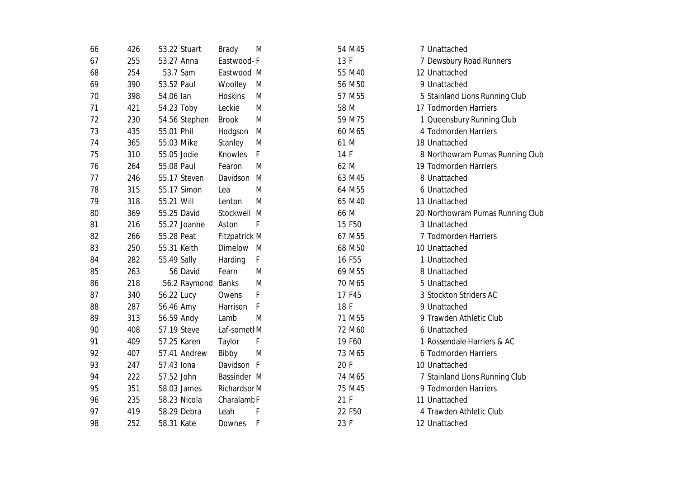| 66 | 426 | 53.22 Stuart  | <b>Brady</b>           | M | 54 M45             | 7 Unattached                     |
|----|-----|---------------|------------------------|---|--------------------|----------------------------------|
| 67 | 255 | 53.27 Anna    | Eastwood-F             |   | 13 F               | 7 Dewsbury Road Runners          |
| 68 | 254 | 53.7 Sam      | Eastwood M             |   | 55 M40             | 12 Unattached                    |
| 69 | 390 | 53.52 Paul    | Woolley                | M | 56 M50             | 9 Unattached                     |
| 70 | 398 | 54.06 lan     | <b>Hoskins</b>         | M | 57 M55             | 5 Stainland Lions Running Club   |
| 71 | 421 | 54.23 Toby    | Leckie                 | M | 58 M               | 17 Todmorden Harriers            |
| 72 | 230 | 54.56 Stephen | <b>Brook</b>           | M | 59 M75             | 1 Queensbury Running Club        |
| 73 | 435 | 55.01 Phil    | Hodgson                | M | 60 M65             | 4 Todmorden Harriers             |
| 74 | 365 | 55.03 Mike    | Stanley                | M | 61 M               | 18 Unattached                    |
| 75 | 310 | 55.05 Jodie   | <b>Knowles</b>         | F | 14 F               | 8 Northowram Pumas Running Club  |
| 76 | 264 | 55.08 Paul    | Fearon                 | M | 62 M               | 19 Todmorden Harriers            |
| 77 | 246 | 55.17 Steven  | Davidson               | M | 63 M45             | 8 Unattached                     |
| 78 | 315 | 55.17 Simon   | Lea                    | M | 64 M55             | 6 Unattached                     |
| 79 | 318 | 55.21 Will    | Lenton                 | M | 65 M40             | 13 Unattached                    |
| 80 | 369 | 55.25 David   | Stockwell M            |   | 66 M               | 20 Northowram Pumas Running Club |
| 81 | 216 | 55.27 Joanne  | Aston                  | F | 15 F50             | 3 Unattached                     |
| 82 | 266 | 55.28 Peat    | <b>Fitzpatrick M</b>   |   | 67 M55             | 7 Todmorden Harriers             |
| 83 | 250 | 55.31 Keith   | <b>Dimelow</b>         | M | 68 M50             | 10 Unattached                    |
| 84 | 282 | 55.49 Sally   | Harding                | F | 16 F55             | 1 Unattached                     |
| 85 | 263 | 56 David      | Fearn                  | M | 69 M55             | 8 Unattached                     |
| 86 | 218 | 56.2 Raymond  | <b>Banks</b>           | M | 70 M65             | 5 Unattached                     |
| 87 | 340 | 56.22 Lucy    | Owens                  | F | 17 F45             | 3 Stockton Striders AC           |
| 88 | 287 | 56.46 Amy     | Harrison               | F | 18 F               | 9 Unattached                     |
| 89 | 313 | 56.59 Andy    | Lamb                   | M | 71 M <sub>55</sub> | 9 Trawden Athletic Club          |
| 90 | 408 | 57.19 Steve   | Laf-sometl M           |   | 72 M60             | 6 Unattached                     |
| 91 | 409 | 57.25 Karen   | Taylor                 | F | 19 F60             | 1 Rossendale Harriers & AC       |
| 92 | 407 | 57.41 Andrew  | Bibby                  | M | 73 M65             | 6 Todmorden Harriers             |
| 93 | 247 | 57.43 Iona    | Davidson F             |   | 20 F               | 10 Unattached                    |
| 94 | 222 | 57.52 John    | Bassinder M            |   | 74 M65             | 7 Stainland Lions Running Club   |
| 95 | 351 | 58.03 James   | <b>Richardsor M</b>    |   | 75 M45             | 9 Todmorden Harriers             |
| 96 | 235 | 58.23 Nicola  | Charalamb <sub>F</sub> |   | 21 F               | 11 Unattached                    |
| 97 | 419 | 58.29 Debra   | Leah                   | F | 22 F50             | 4 Trawden Athletic Club          |
| 98 | 252 | 58.31 Kate    | Downes                 | F | 23 F               | 12 Unattached                    |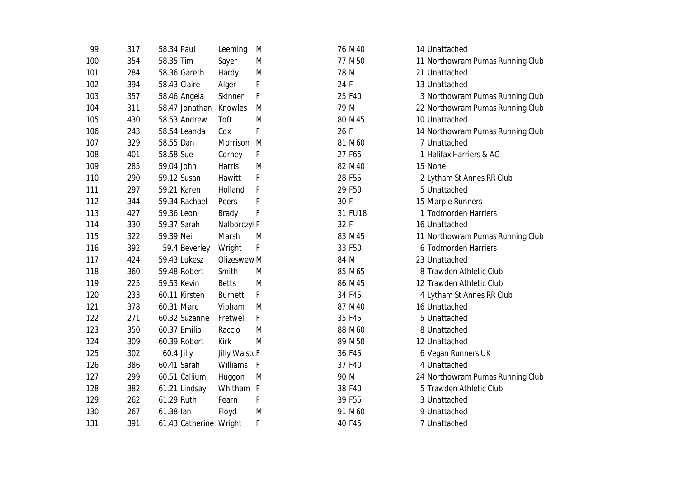| 99  | 317 | 58.34 Paul             | Leeming                | M    | 76 M40  | 14 Unattached                    |
|-----|-----|------------------------|------------------------|------|---------|----------------------------------|
| 100 | 354 | 58.35 Tim              | Sayer                  | M    | 77 M50  | 11 Northowram Pumas Running Club |
| 101 | 284 | 58.36 Gareth           | Hardy                  | M    | 78 M    | 21 Unattached                    |
| 102 | 394 | 58.43 Claire           | Alger                  | F    | 24 F    | 13 Unattached                    |
| 103 | 357 | 58.46 Angela           | Skinner                | F    | 25 F40  | 3 Northowram Pumas Running Club  |
| 104 | 311 | 58.47 Jonathan         | Knowles                | M    | 79 M    | 22 Northowram Pumas Running Club |
| 105 | 430 | 58.53 Andrew           | Toft                   | M    | 80 M45  | 10 Unattached                    |
| 106 | 243 | 58.54 Leanda           | Cox                    | F    | 26 F    | 14 Northowram Pumas Running Club |
| 107 | 329 | 58.55 Dan              | Morrison M             |      | 81 M60  | 7 Unattached                     |
| 108 | 401 | 58.58 Sue              | Corney                 | F    | 27 F65  | 1 Halifax Harriers & AC          |
| 109 | 285 | 59.04 John             | <b>Harris</b>          | M    | 82 M40  | 15 None                          |
| 110 | 290 | 59.12 Susan            | Hawitt                 | F    | 28 F55  | 2 Lytham St Annes RR Club        |
| 111 | 297 | 59.21 Karen            | Holland                | F    | 29 F50  | 5 Unattached                     |
| 112 | 344 | 59.34 Rachael          | Peers                  | F    | 30 F    | 15 Marple Runners                |
| 113 | 427 | 59.36 Leoni            | <b>Brady</b>           | F    | 31 FU18 | 1 Todmorden Harriers             |
| 114 | 330 | 59.37 Sarah            | Nalborczył F           |      | 32 F    | 16 Unattached                    |
| 115 | 322 | 59.39 Neil             | Marsh                  | M    | 83 M45  | 11 Northowram Pumas Running Club |
| 116 | 392 | 59.4 Beverley          | Wright                 | F    | 33 F50  | 6 Todmorden Harriers             |
| 117 | 424 | 59.43 Lukesz           | Olizeswew <sub>M</sub> |      | 84 M    | 23 Unattached                    |
| 118 | 360 | 59.48 Robert           | Smith                  | M    | 85 M65  | 8 Trawden Athletic Club          |
| 119 | 225 | 59.53 Kevin            | <b>Betts</b>           | M    | 86 M45  | 12 Trawden Athletic Club         |
| 120 | 233 | 60.11 Kirsten          | <b>Burnett</b>         | F    | 34 F45  | 4 Lytham St Annes RR Club        |
| 121 | 378 | 60.31 Marc             | Vipham                 | M    | 87 M40  | 16 Unattached                    |
| 122 | 271 | 60.32 Suzanne          | Fretwell               | F    | 35 F45  | 5 Unattached                     |
| 123 | 350 | 60.37 Emilio           | Raccio                 | M    | 88 M60  | 8 Unattached                     |
| 124 | 309 | 60.39 Robert           | Kirk                   | M    | 89 M50  | 12 Unattached                    |
| 125 | 302 | 60.4 Jilly             | <b>Jilly WalstoF</b>   |      | 36 F45  | 6 Vegan Runners UK               |
| 126 | 386 | 60.41 Sarah            | Williams               | $-F$ | 37 F40  | 4 Unattached                     |
| 127 | 299 | 60.51 Callium          | Huggon                 | M    | 90 M    | 24 Northowram Pumas Running Club |
| 128 | 382 | 61.21 Lindsay          | Whitham F              |      | 38 F40  | 5 Trawden Athletic Club          |
| 129 | 262 | 61.29 Ruth             | Fearn                  | F    | 39 F55  | 3 Unattached                     |
| 130 | 267 | 61.38 lan              | Floyd                  | M    | 91 M60  | 9 Unattached                     |
| 131 | 391 | 61.43 Catherine Wright |                        | F    | 40 F45  | 7 Unattached                     |
|     |     |                        |                        |      |         |                                  |

| 14 Unattached                    |
|----------------------------------|
| 11 Northowram Pumas Running Club |
| 21 Unattached                    |
| 13 Unattached                    |
| 3 Northowram Pumas Running Club  |
| 22 Northowram Pumas Running Club |
| 10 Unattached                    |
| 14 Northowram Pumas Running Club |
| 7 Unattached                     |
| 1 Halifax Harriers & AC          |
| 15 None                          |
| 2 Lytham St Annes RR Club        |
| 5 Unattached                     |
| 15 Marple Runners                |
| 1 Todmorden Harriers             |
| 16 Unattached                    |
| 11 Northowram Pumas Running Club |
| 6 Todmorden Harriers             |
| 23 Unattached                    |
| 8 Trawden Athletic Club          |
| 12 Trawden Athletic Club         |
| 4 Lytham St Annes RR Club        |
| 16 Unattached                    |
| 5 Unattached                     |
| 8 Unattached                     |
| 12 Unattached                    |
| 6 Vegan Runners UK               |
| 4 Unattached                     |
| 24 Northowram Pumas Running Club |
| 5 Trawden Athletic Club          |
| 3 Unattached                     |
| 9 Unattached                     |
| 7 Unattached                     |
|                                  |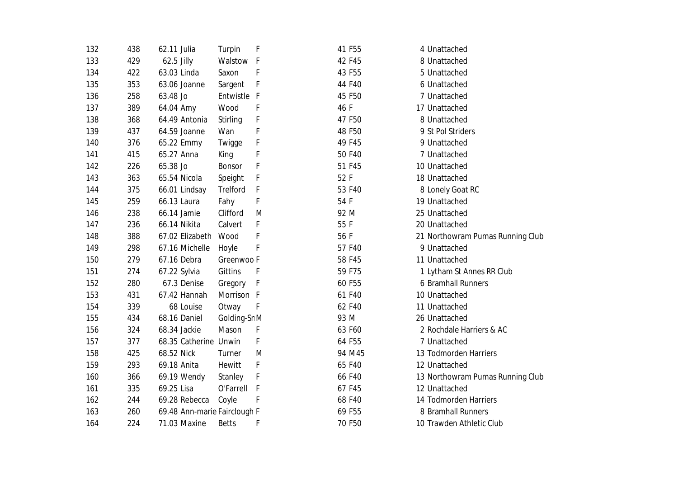| 132 | 438 | 62.11 Julia                  | <b>Turpin</b>           | F            | 41 F55 | 4 Unattached                     |
|-----|-----|------------------------------|-------------------------|--------------|--------|----------------------------------|
| 133 | 429 | 62.5 Jilly                   | Walstow F               |              | 42 F45 | 8 Unattached                     |
| 134 | 422 | 63.03 Linda                  | Saxon                   | F            | 43 F55 | 5 Unattached                     |
| 135 | 353 | 63.06 Joanne                 | Sargent                 | F            | 44 F40 | 6 Unattached                     |
| 136 | 258 | 63.48 Jo                     | Entwistle F             |              | 45 F50 | 7 Unattached                     |
| 137 | 389 | 64.04 Amy                    | Wood                    | F            | 46 F   | 17 Unattached                    |
| 138 | 368 | 64.49 Antonia                | <b>Stirling</b>         | F            | 47 F50 | 8 Unattached                     |
| 139 | 437 | 64.59 Joanne                 | Wan                     | F            | 48 F50 | 9 St Pol Striders                |
| 140 | 376 | 65.22 Emmy                   | Twigge                  | F            | 49 F45 | 9 Unattached                     |
| 141 | 415 | 65.27 Anna                   | King                    | F            | 50 F40 | 7 Unattached                     |
| 142 | 226 | 65.38 Jo                     | <b>Bonsor</b>           | F            | 51 F45 | 10 Unattached                    |
| 143 | 363 | 65.54 Nicola                 | Speight                 | F            | 52 F   | 18 Unattached                    |
| 144 | 375 | 66.01 Lindsay                | <b>Trelford</b>         | F            | 53 F40 | 8 Lonely Goat RC                 |
| 145 | 259 | 66.13 Laura                  | Fahy                    | F            | 54 F   | 19 Unattached                    |
| 146 | 238 | 66.14 Jamie                  | Clifford                | M            | 92 M   | 25 Unattached                    |
| 147 | 236 | 66.14 Nikita                 | Calvert                 | F            | 55 F   | 20 Unattached                    |
| 148 | 388 | 67.02 Elizabeth              | Wood                    | F            | 56 F   | 21 Northowram Pumas Running Club |
| 149 | 298 | 67.16 Michelle               | Hoyle                   | F            | 57 F40 | 9 Unattached                     |
| 150 | 279 | 67.16 Debra                  | Greenwoo F              |              | 58 F45 | 11 Unattached                    |
| 151 | 274 | 67.22 Sylvia                 | <b>Gittins</b>          | F            | 59 F75 | 1 Lytham St Annes RR Club        |
| 152 | 280 | 67.3 Denise                  | Gregory                 | F            | 60 F55 | 6 Bramhall Runners               |
| 153 | 431 | 67.42 Hannah                 | Morrison F              |              | 61 F40 | 10 Unattached                    |
| 154 | 339 | 68 Louise                    | Otway                   | F            | 62 F40 | 11 Unattached                    |
| 155 | 434 | 68.16 Daniel                 | Golding-Sr <sub>M</sub> |              | 93 M   | 26 Unattached                    |
| 156 | 324 | 68.34 Jackie                 | Mason                   | F            | 63 F60 | 2 Rochdale Harriers & AC         |
| 157 | 377 | 68.35 Catherine Unwin        |                         | F            | 64 F55 | 7 Unattached                     |
| 158 | 425 | 68.52 Nick                   | Turner                  | M            | 94 M45 | 13 Todmorden Harriers            |
| 159 | 293 | 69.18 Anita                  | Hewitt                  | F            | 65 F40 | 12 Unattached                    |
| 160 | 366 | 69.19 Wendy                  | Stanley                 | F            | 66 F40 | 13 Northowram Pumas Running Club |
| 161 | 335 | 69.25 Lisa                   | O'Farrell               | $\mathsf{F}$ | 67 F45 | 12 Unattached                    |
| 162 | 244 | 69.28 Rebecca                | Coyle                   | F            | 68 F40 | 14 Todmorden Harriers            |
| 163 | 260 | 69.48 Ann-marie Fairclough F |                         |              | 69 F55 | 8 Bramhall Runners               |
| 164 | 224 | 71.03 Maxine                 | <b>Betts</b>            | F            | 70 F50 | 10 Trawden Athletic Club         |